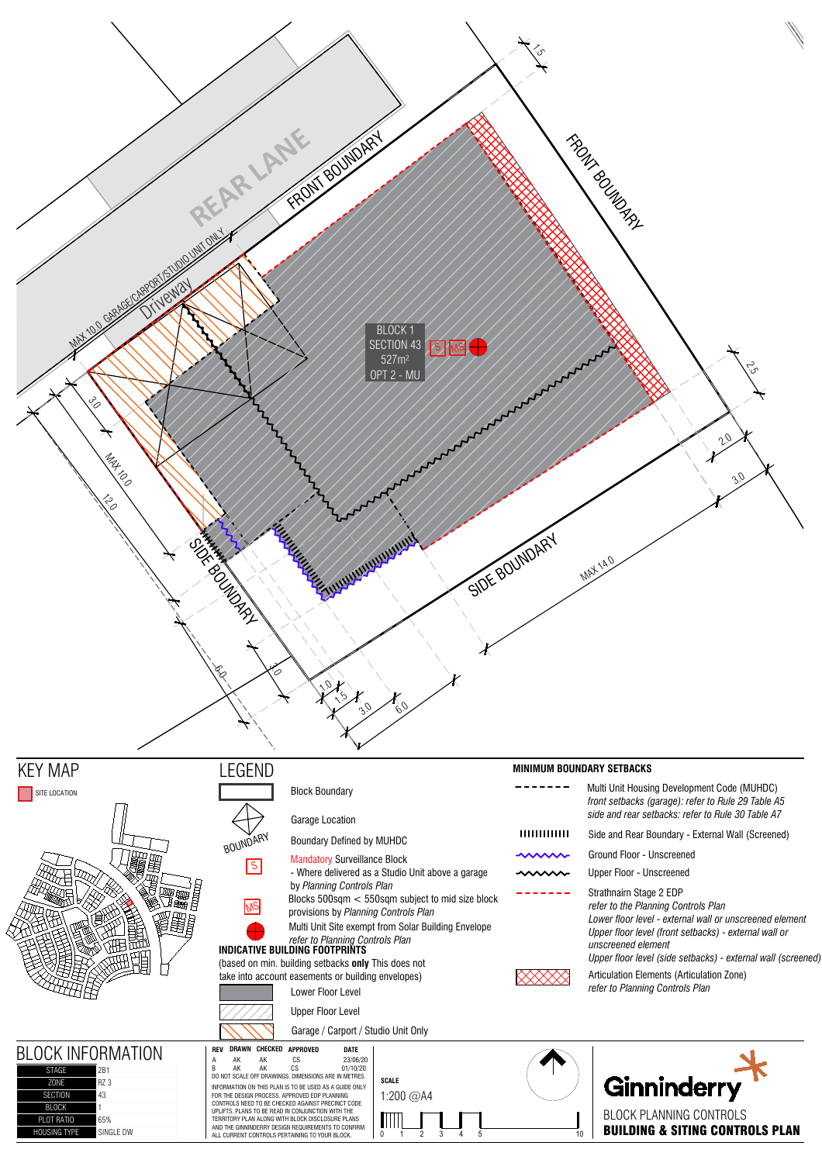